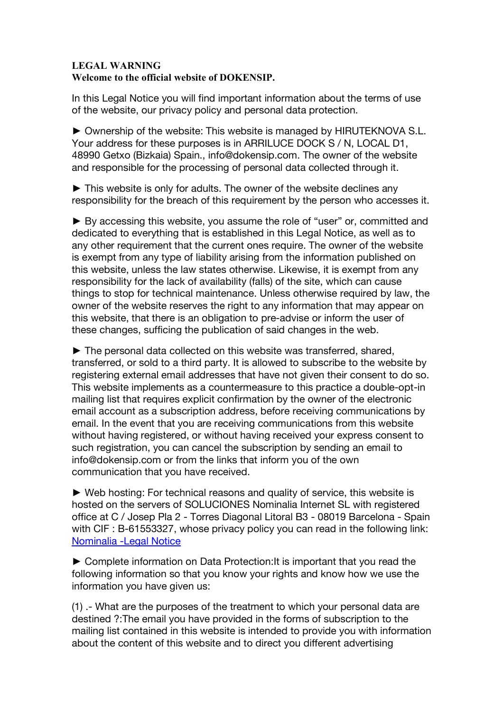## **LEGAL WARNING Welcome to the official website of DOKENSIP.**

In this Legal Notice you will find important information about the terms of use of the website, our privacy policy and personal data protection.

► Ownership of the website: This website is managed by HIRUTEKNOVA S.L. Your address for these purposes is in ARRILUCE DOCK S / N, LOCAL D1, 48990 Getxo (Bizkaia) Spain., info@dokensip.com. The owner of the website and responsible for the processing of personal data collected through it.

► This website is only for adults. The owner of the website declines any responsibility for the breach of this requirement by the person who accesses it.

► By accessing this website, you assume the role of "user" or, committed and dedicated to everything that is established in this Legal Notice, as well as to any other requirement that the current ones require. The owner of the website is exempt from any type of liability arising from the information published on this website, unless the law states otherwise. Likewise, it is exempt from any responsibility for the lack of availability (falls) of the site, which can cause things to stop for technical maintenance. Unless otherwise required by law, the owner of the website reserves the right to any information that may appear on this website, that there is an obligation to pre-advise or inform the user of these changes, sufficing the publication of said changes in the web.

► The personal data collected on this website was transferred, shared, transferred, or sold to a third party. It is allowed to subscribe to the website by registering external email addresses that have not given their consent to do so. This website implements as a countermeasure to this practice a double-opt-in mailing list that requires explicit confirmation by the owner of the electronic email account as a subscription address, before receiving communications by email. In the event that you are receiving communications from this website without having registered, or without having received your express consent to such registration, you can cancel the subscription by sending an email to info@dokensip.com or from the links that inform you of the own communication that you have received.

► Web hosting: For technical reasons and quality of service, this website is hosted on the servers of SOLUCIONES Nominalia Internet SL with registered office at C / Josep Pla 2 - Torres Diagonal Litoral B3 - 08019 Barcelona - Spain with CIF : B-61553327, whose privacy policy you can read in the following link: Nominalia -Legal Notice

► Complete information on Data Protection:It is important that you read the following information so that you know your rights and know how we use the information you have given us:

(1) .- What are the purposes of the treatment to which your personal data are destined ?:The email you have provided in the forms of subscription to the mailing list contained in this website is intended to provide you with information about the content of this website and to direct you different advertising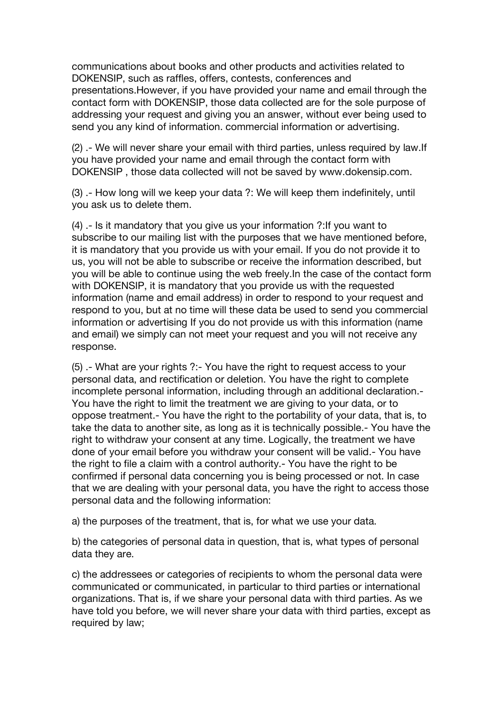communications about books and other products and activities related to DOKENSIP, such as raffles, offers, contests, conferences and presentations.However, if you have provided your name and email through the contact form with DOKENSIP, those data collected are for the sole purpose of addressing your request and giving you an answer, without ever being used to send you any kind of information. commercial information or advertising.

(2) .- We will never share your email with third parties, unless required by law.If you have provided your name and email through the contact form with DOKENSIP , those data collected will not be saved by www.dokensip.com.

(3) .- How long will we keep your data ?: We will keep them indefinitely, until you ask us to delete them.

(4) .- Is it mandatory that you give us your information ?:If you want to subscribe to our mailing list with the purposes that we have mentioned before, it is mandatory that you provide us with your email. If you do not provide it to us, you will not be able to subscribe or receive the information described, but you will be able to continue using the web freely.In the case of the contact form with DOKENSIP, it is mandatory that you provide us with the requested information (name and email address) in order to respond to your request and respond to you, but at no time will these data be used to send you commercial information or advertising If you do not provide us with this information (name and email) we simply can not meet your request and you will not receive any response.

(5) .- What are your rights ?:- You have the right to request access to your personal data, and rectification or deletion. You have the right to complete incomplete personal information, including through an additional declaration.- You have the right to limit the treatment we are giving to your data, or to oppose treatment.- You have the right to the portability of your data, that is, to take the data to another site, as long as it is technically possible.- You have the right to withdraw your consent at any time. Logically, the treatment we have done of your email before you withdraw your consent will be valid.- You have the right to file a claim with a control authority.- You have the right to be confirmed if personal data concerning you is being processed or not. In case that we are dealing with your personal data, you have the right to access those personal data and the following information:

a) the purposes of the treatment, that is, for what we use your data.

b) the categories of personal data in question, that is, what types of personal data they are.

c) the addressees or categories of recipients to whom the personal data were communicated or communicated, in particular to third parties or international organizations. That is, if we share your personal data with third parties. As we have told you before, we will never share your data with third parties, except as required by law;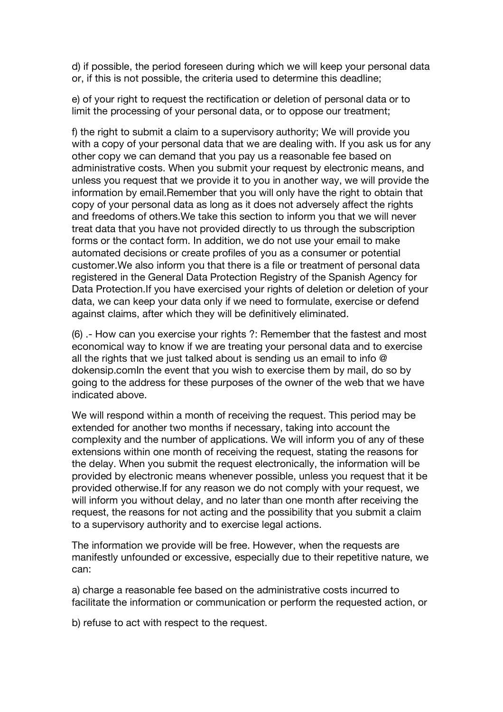d) if possible, the period foreseen during which we will keep your personal data or, if this is not possible, the criteria used to determine this deadline;

e) of your right to request the rectification or deletion of personal data or to limit the processing of your personal data, or to oppose our treatment;

f) the right to submit a claim to a supervisory authority; We will provide you with a copy of your personal data that we are dealing with. If you ask us for any other copy we can demand that you pay us a reasonable fee based on administrative costs. When you submit your request by electronic means, and unless you request that we provide it to you in another way, we will provide the information by email.Remember that you will only have the right to obtain that copy of your personal data as long as it does not adversely affect the rights and freedoms of others.We take this section to inform you that we will never treat data that you have not provided directly to us through the subscription forms or the contact form. In addition, we do not use your email to make automated decisions or create profiles of you as a consumer or potential customer.We also inform you that there is a file or treatment of personal data registered in the General Data Protection Registry of the Spanish Agency for Data Protection.If you have exercised your rights of deletion or deletion of your data, we can keep your data only if we need to formulate, exercise or defend against claims, after which they will be definitively eliminated.

(6) .- How can you exercise your rights ?: Remember that the fastest and most economical way to know if we are treating your personal data and to exercise all the rights that we just talked about is sending us an email to info @ dokensip.comIn the event that you wish to exercise them by mail, do so by going to the address for these purposes of the owner of the web that we have indicated above.

We will respond within a month of receiving the request. This period may be extended for another two months if necessary, taking into account the complexity and the number of applications. We will inform you of any of these extensions within one month of receiving the request, stating the reasons for the delay. When you submit the request electronically, the information will be provided by electronic means whenever possible, unless you request that it be provided otherwise.If for any reason we do not comply with your request, we will inform you without delay, and no later than one month after receiving the request, the reasons for not acting and the possibility that you submit a claim to a supervisory authority and to exercise legal actions.

The information we provide will be free. However, when the requests are manifestly unfounded or excessive, especially due to their repetitive nature, we can:

a) charge a reasonable fee based on the administrative costs incurred to facilitate the information or communication or perform the requested action, or

b) refuse to act with respect to the request.